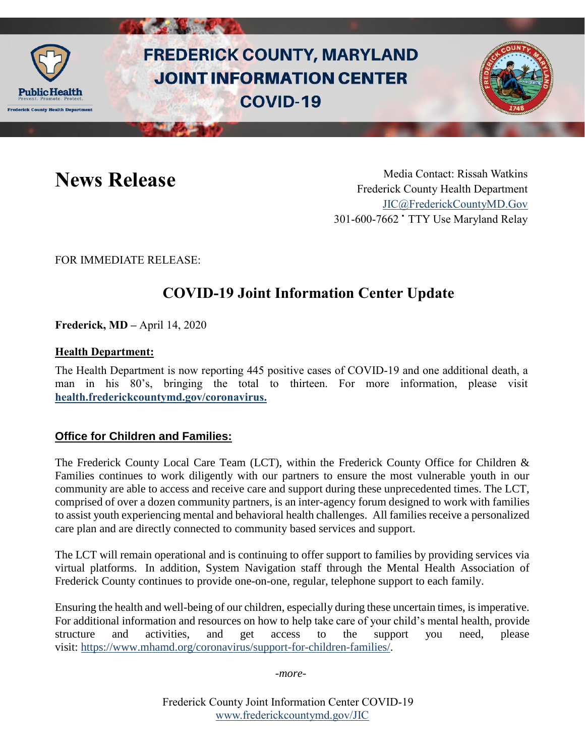

# **FREDERICK COUNTY, MARYLAND JOINT INFORMATION CENTER COVID-19**



**News Release** Media Contact: Rissah Watkins Frederick County Health Department [JIC@FrederickCountyMD.Gov](mailto:JIC@FrederickCountyMD.Gov) 301-600-7662 • TTY Use Maryland Relay

FOR IMMEDIATE RELEASE:

# **COVID-19 Joint Information Center Update**

**Frederick, MD –** April 14, 2020

#### **Health Department:**

The Health Department is now reporting 445 positive cases of COVID-19 and one additional death, a man in his 80's, bringing the total to thirteen. For more information, please visit **[health.frederickcountymd.gov/coronavirus.](https://health.frederickcountymd.gov/614/Novel-Coronavirus-COVID-19)**

#### **Office for Children and Families:**

The Frederick County Local Care Team (LCT), within the Frederick County Office for Children & Families continues to work diligently with our partners to ensure the most vulnerable youth in our community are able to access and receive care and support during these unprecedented times. The LCT, comprised of over a dozen community partners, is an inter-agency forum designed to work with families to assist youth experiencing mental and behavioral health challenges. All families receive a personalized care plan and are directly connected to community based services and support.

The LCT will remain operational and is continuing to offer support to families by providing services via virtual platforms. In addition, System Navigation staff through the Mental Health Association of Frederick County continues to provide one-on-one, regular, telephone support to each family.

Ensuring the health and well-being of our children, especially during these uncertain times, is imperative. For additional information and resources on how to help take care of your child's mental health, provide structure and activities, and get access to the support you need, please visit: [https://www.mhamd.org/coronavirus/support-for-children-families/.](https://www.mhamd.org/coronavirus/support-for-children-families/)

*-more-*

Frederick County Joint Information Center COVID-19 [www.frederickcountymd.gov/JIC](https://frederickcountymd.gov/JIC)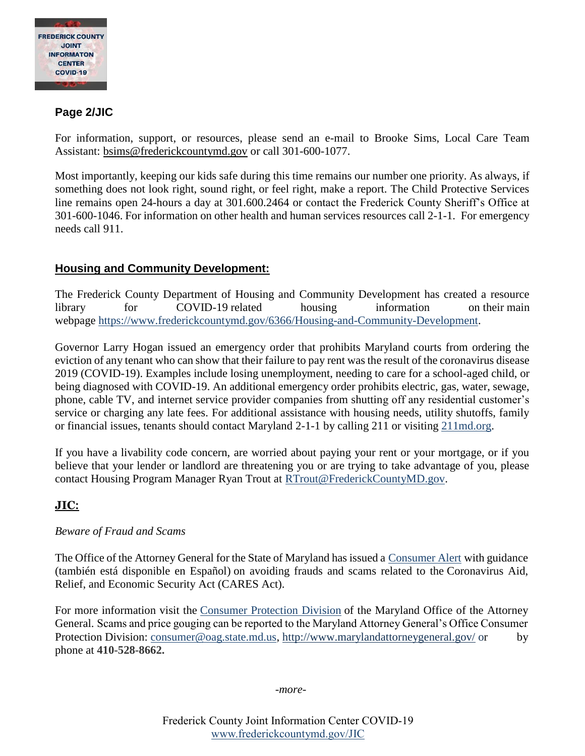

# **Page 2/JIC**

For information, support, or resources, please send an e-mail to Brooke Sims, Local Care Team Assistant: [bsims@frederickcountymd.gov](mailto:bsims@frederickcountymd.gov) or call 301-600-1077.

Most importantly, keeping our kids safe during this time remains our number one priority. As always, if something does not look right, sound right, or feel right, make a report. The Child Protective Services line remains open 24-hours a day at 301.600.2464 or contact the Frederick County Sheriff's Office at 301-600-1046. For information on other health and human services resources call 2-1-1. For emergency needs call 911.

### **Housing and Community Development:**

The Frederick County Department of Housing and Community Development has created a resource library for COVID-19 related housing information on their main webpage [https://www.frederickcountymd.gov/6366/Housing-and-Community-Development.](https://www.frederickcountymd.gov/6366/Housing-and-Community-Development)

Governor Larry Hogan issued an emergency order that prohibits Maryland courts from ordering the eviction of any tenant who can show that their failure to pay rent was the result of the coronavirus disease 2019 (COVID-19). Examples include losing unemployment, needing to care for a school-aged child, or being diagnosed with COVID-19. An additional emergency order prohibits electric, gas, water, sewage, phone, cable TV, and internet service provider companies from shutting off any residential customer's service or charging any late fees. For additional assistance with housing needs, utility shutoffs, family or financial issues, tenants should contact Maryland 2-1-1 by calling 211 or visiting [211md.org.](https://211md.org/)

If you have a livability code concern, are worried about paying your rent or your mortgage, or if you believe that your lender or landlord are threatening you or are trying to take advantage of you, please contact Housing Program Manager Ryan Trout at [RTrout@FrederickCountyMD.gov.](mailto:RTrout@FrederickCountyMD.gov)

#### **JIC:**

#### *Beware of Fraud and Scams*

The Office of the Attorney General for the State of Maryland has issued a [Consumer Alert](https://www.frederickcountymd.gov/DocumentCenter/View/325666) with guidance (también está disponible en Español) on avoiding frauds and scams related to the Coronavirus Aid, Relief, and Economic Security Act (CARES Act).

For more information visit the [Consumer Protection Division](http://www.marylandattorneygeneral.gov/Pages/CPD/) of the Maryland Office of the Attorney General. Scams and price gouging can be reported to the Maryland Attorney General's Office Consumer Protection Division: [consumer@oag.state.md.us,](mailto:consumer@oag.state.md.us) <http://www.marylandattorneygeneral.gov/> or by phone at **410-528-8662.**

*-more-*